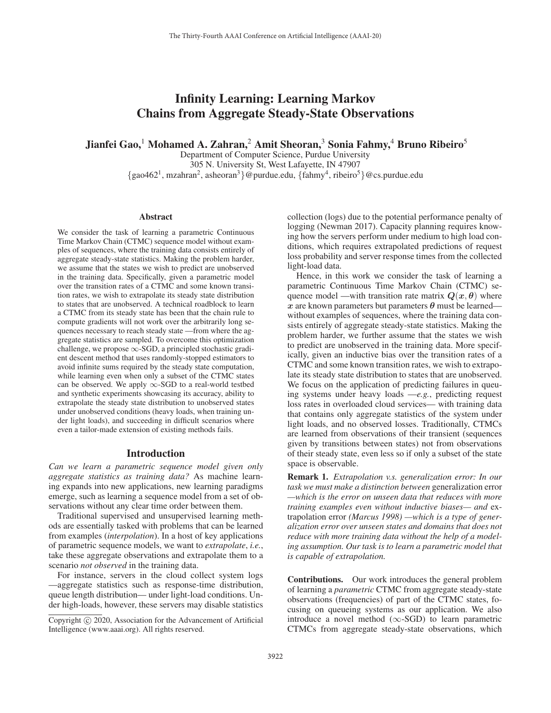# Infinity Learning: Learning Markov Chains from Aggregate Steady-State Observations

Jianfei Gao,<sup>1</sup> Mohamed A. Zahran,<sup>2</sup> Amit Sheoran,<sup>3</sup> Sonia Fahmy,<sup>4</sup> Bruno Ribeiro<sup>5</sup>

Department of Computer Science, Purdue University 305 N. University St, West Lafayette, IN 47907  $\{gao462^1, mzahran^2, asheoran^3\}$ @purdue.edu,  $\{fahmy^4, ribeiro^5\}$ @cs.purdue.edu

#### Abstract

We consider the task of learning a parametric Continuous Time Markov Chain (CTMC) sequence model without examples of sequences, where the training data consists entirely of aggregate steady-state statistics. Making the problem harder, we assume that the states we wish to predict are unobserved in the training data. Specifically, given a parametric model over the transition rates of a CTMC and some known transition rates, we wish to extrapolate its steady state distribution to states that are unobserved. A technical roadblock to learn a CTMC from its steady state has been that the chain rule to compute gradients will not work over the arbitrarily long sequences necessary to reach steady state —from where the aggregate statistics are sampled. To overcome this optimization challenge, we propose  $\infty$ -SGD, a principled stochastic gradient descent method that uses randomly-stopped estimators to avoid infinite sums required by the steady state computation, while learning even when only a subset of the CTMC states can be observed. We apply  $\infty$ -SGD to a real-world testbed and synthetic experiments showcasing its accuracy, ability to extrapolate the steady state distribution to unobserved states under unobserved conditions (heavy loads, when training under light loads), and succeeding in difficult scenarios where even a tailor-made extension of existing methods fails.

#### Introduction

*Can we learn a parametric sequence model given only aggregate statistics as training data?* As machine learning expands into new applications, new learning paradigms emerge, such as learning a sequence model from a set of observations without any clear time order between them.

Traditional supervised and unsupervised learning methods are essentially tasked with problems that can be learned from examples (*interpolation*). In a host of key applications of parametric sequence models, we want to *extrapolate*, *i.e.*, take these aggregate observations and extrapolate them to a scenario *not observed* in the training data.

For instance, servers in the cloud collect system logs —aggregate statistics such as response-time distribution, queue length distribution— under light-load conditions. Under high-loads, however, these servers may disable statistics

collection (logs) due to the potential performance penalty of logging (Newman 2017). Capacity planning requires knowing how the servers perform under medium to high load conditions, which requires extrapolated predictions of request loss probability and server response times from the collected light-load data.

Hence, in this work we consider the task of learning a parametric Continuous Time Markov Chain (CTMC) sequence model —with transition rate matrix  $Q(x, \theta)$  where  $x$  are known parameters but parameters  $\theta$  must be learned without examples of sequences, where the training data consists entirely of aggregate steady-state statistics. Making the problem harder, we further assume that the states we wish to predict are unobserved in the training data. More specifically, given an inductive bias over the transition rates of a CTMC and some known transition rates, we wish to extrapolate its steady state distribution to states that are unobserved. We focus on the application of predicting failures in queuing systems under heavy loads —*e.g.*, predicting request loss rates in overloaded cloud services— with training data that contains only aggregate statistics of the system under light loads, and no observed losses. Traditionally, CTMCs are learned from observations of their transient (sequences given by transitions between states) not from observations of their steady state, even less so if only a subset of the state space is observable.

Remark 1. *Extrapolation v.s. generalization error: In our task we must make a distinction between* generalization error *—which is the error on unseen data that reduces with more training examples even without inductive biases— and* extrapolation error *(Marcus 1998) —which is a type of generalization error over unseen states and domains that does not reduce with more training data without the help of a modeling assumption. Our task is to learn a parametric model that is capable of extrapolation.*

Contributions. Our work introduces the general problem of learning a *parametric* CTMC from aggregate steady-state observations (frequencies) of part of the CTMC states, focusing on queueing systems as our application. We also introduce a novel method  $(\infty\text{-SGD})$  to learn parametric CTMCs from aggregate steady-state observations, which

Copyright @ 2020, Association for the Advancement of Artificial Intelligence (www.aaai.org). All rights reserved.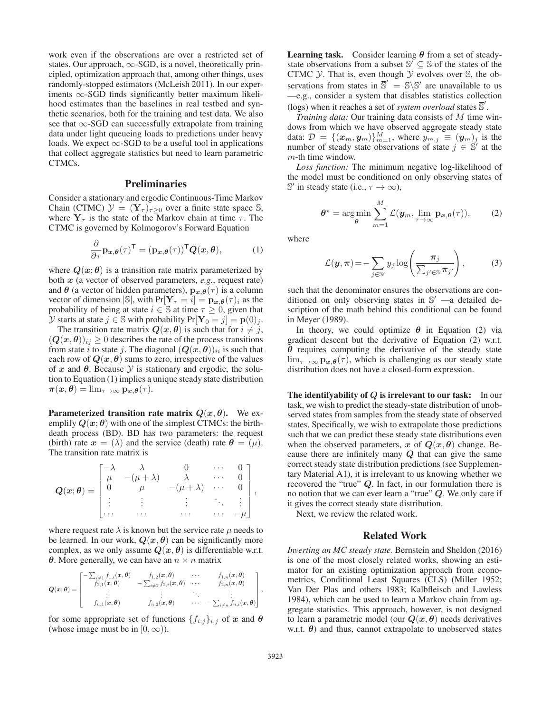work even if the observations are over a restricted set of states. Our approach,  $\infty$ -SGD, is a novel, theoretically principled, optimization approach that, among other things, uses randomly-stopped estimators (McLeish 2011). In our experiments  $\infty$ -SGD finds significantly better maximum likelihood estimates than the baselines in real testbed and synthetic scenarios, both for the training and test data. We also see that ∞-SGD can successfully extrapolate from training data under light queueing loads to predictions under heavy loads. We expect  $\infty$ -SGD to be a useful tool in applications that collect aggregate statistics but need to learn parametric CTMCs.

# **Preliminaries**

Consider a stationary and ergodic Continuous-Time Markov Chain (CTMC)  $\mathcal{Y} = (\mathbf{Y}_{\tau})_{\tau \geq 0}$  over a finite state space S, where  $Y<sub>\tau</sub>$  is the state of the Markov chain at time  $\tau$ . The CTMC is governed by Kolmogorov's Forward Equation

$$
\frac{\partial}{\partial \tau} \mathbf{p}_{x,\theta}(\tau)^{\mathsf{T}} = (\mathbf{p}_{x,\theta}(\tau))^{\mathsf{T}} \mathbf{Q}(x,\theta), \tag{1}
$$

where  $Q(x; \theta)$  is a transition rate matrix parameterized by both *x* (a vector of observed parameters, *e.g.*, request rate) and  $\theta$  (a vector of hidden parameters),  $\mathbf{p}_{x,\theta}(\tau)$  is a column vector of dimension  $|\mathbb{S}|$ , with  $Pr[\mathbf{Y}_{\tau} = i] = \mathbf{p}_{\boldsymbol{x},\boldsymbol{\theta}}(\tau)_i$  as the probability of being at state  $i \in \mathbb{S}$  at time  $\tau \geq 0$ , given that *Y* starts at state *j* ∈ S with probability  $Pr[Y_0 = j] = p(0)$ *j*.

The transition rate matrix  $Q(x, \theta)$  is such that for  $i \neq j$ ,  $(Q(x, \theta))_{ij} \geq 0$  describes the rate of the process transitions from state i to state j. The diagonal  $(Q(x, \theta))_{ii}$  is such that each row of  $Q(x, \theta)$  sums to zero, irrespective of the values of  $x$  and  $\theta$ . Because  $\mathcal Y$  is stationary and ergodic, the solution to Equation (1) implies a unique steady state distribution  $\pi(x, \theta) = \lim_{\tau \to \infty} p_{x, \theta}(\tau).$ 

**Parameterized transition rate matrix**  $Q(x, \theta)$ **.** We exemplify  $Q(x; \theta)$  with one of the simplest CTMCs: the birthdeath process (BD). BD has two parameters: the request (birth) rate  $x = (\lambda)$  and the service (death) rate  $\theta = (\mu)$ . The transition rate matrix is

$$
\mathbf{Q}(\mathbf{x};\boldsymbol{\theta}) = \begin{bmatrix} -\lambda & \lambda & 0 & \cdots & 0 \\ \mu & -(\mu + \lambda) & \lambda & \cdots & 0 \\ 0 & \mu & -(\mu + \lambda) & \cdots & 0 \\ \vdots & \vdots & \vdots & \ddots & \vdots \\ \cdots & \cdots & \cdots & \cdots & -\mu \end{bmatrix},
$$

where request rate  $\lambda$  is known but the service rate  $\mu$  needs to be learned. In our work,  $Q(x, \theta)$  can be significantly more complex, as we only assume  $Q(x, \theta)$  is differentiable w.r.t. *θ*. More generally, we can have an  $n \times n$  matrix

$$
Q(x; \theta) = \begin{bmatrix} -\sum_{i \neq 1} f_{1,i}(x, \theta) & f_{1,2}(x, \theta) & \cdots & f_{1,n}(x, \theta) \\ f_{2,1}(x, \theta) & -\sum_{i \neq 2} f_{2,i}(x, \theta) & \cdots & f_{2,n}(x, \theta) \\ \vdots & \vdots & \ddots & \vdots \\ f_{n,1}(x, \theta) & f_{n,2}(x, \theta) & \cdots & -\sum_{i \neq n} f_{n,i}(x, \theta) \end{bmatrix},
$$

for some appropriate set of functions  $\{f_{i,j}\}_{i,j}$  of *x* and  $\theta$ (whose image must be in  $[0, \infty)$ ).

Learning task. Consider learning *θ* from a set of steadystate observations from a subset  $\mathbb{S}' \subseteq \mathbb{S}$  of the states of the CTMC  $Y$ . That is, even though  $Y$  evolves over  $\mathbb{S}$ , the observations from states in  $\overline{S}' = S \ S'$  are unavailable to us<br>  $-e \sigma$  consider a system that disables statistics collection —e.g., consider a system that disables statistics collection (logs) when it reaches a set of *system overload* states  $\overline{S}'$ .

*Training data:* Our training data consists of M time windows from which we have observed aggregate steady state data:  $\mathcal{D} = \{(\boldsymbol{x}_m, \boldsymbol{y}_m)\}_{m=1}^M$ , where  $y_{m,j} \equiv (\boldsymbol{y}_m)_j$  is the number of steady state observations of state  $j \in \mathbb{S}'$  at the m-th time window.

*Loss function:* The minimum negative log-likelihood of the model must be conditioned on only observing states of S' in steady state (i.e.,  $\tau \to \infty$ ),

$$
\theta^* = \arg\min_{\theta} \sum_{m=1}^M \mathcal{L}(\mathbf{y}_m, \lim_{\tau \to \infty} \mathbf{p}_{\mathbf{x},\theta}(\tau)), \qquad (2)
$$

where

$$
\mathcal{L}(\boldsymbol{y}, \boldsymbol{\pi}) = -\sum_{j \in \mathbb{S}'} y_j \log \left( \frac{\boldsymbol{\pi}_j}{\sum_{j' \in \mathbb{S}} \boldsymbol{\pi}_{j'}} \right), \tag{3}
$$

such that the denominator ensures the observations are conditioned on only observing states in  $\mathbb{S}'$  —a detailed description of the math behind this conditional can be found in Meyer (1989).

In theory, we could optimize  $\theta$  in Equation (2) via gradient descent but the derivative of Equation (2) w.r.t. *θ* requires computing the derivative of the steady state  $\lim_{\tau \to \infty}$  **p**<sub>*x*</sub>, $\theta$ </sub>( $\tau$ ), which is challenging as our steady state distribution does not have a closed-form expression.

The identifyability of *Q* is irrelevant to our task: In our task, we wish to predict the steady-state distribution of unobserved states from samples from the steady state of observed states. Specifically, we wish to extrapolate those predictions such that we can predict these steady state distributions even when the observed parameters, *x* of  $Q(x, \theta)$  change. Because there are infinitely many *Q* that can give the same correct steady state distribution predictions (see Supplementary Material A1), it is irrelevant to us knowing whether we recovered the "true" *Q*. In fact, in our formulation there is no notion that we can ever learn a "true" *Q*. We only care if it gives the correct steady state distribution.

Next, we review the related work.

# Related Work

*Inverting an MC steady state.* Bernstein and Sheldon (2016) is one of the most closely related works, showing an estimator for an existing optimization approach from econometrics, Conditional Least Squares (CLS) (Miller 1952; Van Der Plas and others 1983; Kalbfleisch and Lawless 1984), which can be used to learn a Markov chain from aggregate statistics. This approach, however, is not designed to learn a parametric model (our  $Q(x, \theta)$  needs derivatives w.r.t.  $\theta$ ) and thus, cannot extrapolate to unobserved states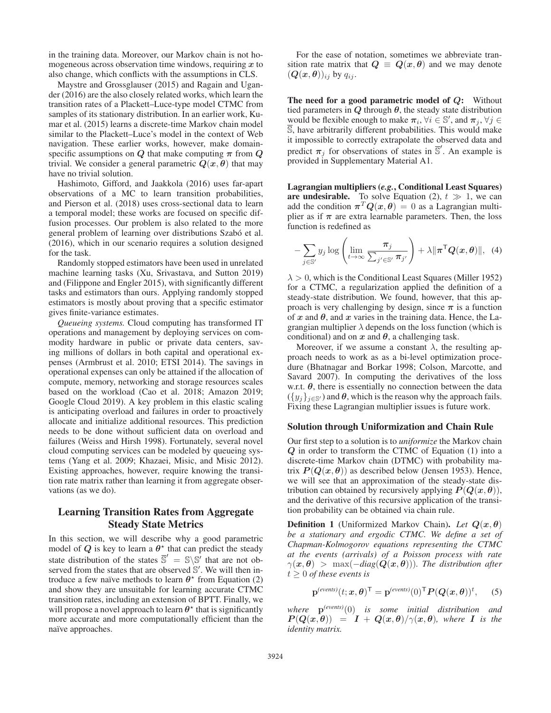in the training data. Moreover, our Markov chain is not homogeneous across observation time windows, requiring *x* to also change, which conflicts with the assumptions in CLS.

Maystre and Grossglauser (2015) and Ragain and Ugander (2016) are the also closely related works, which learn the transition rates of a Plackett–Luce-type model CTMC from samples of its stationary distribution. In an earlier work, Kumar et al. (2015) learns a discrete-time Markov chain model similar to the Plackett–Luce's model in the context of Web navigation. These earlier works, however, make domainspecific assumptions on *Q* that make computing  $\pi$  from *Q* trivial. We consider a general parametric  $Q(x, \theta)$  that may have no trivial solution.

Hashimoto, Gifford, and Jaakkola (2016) uses far-apart observations of a MC to learn transition probabilities, and Pierson et al. (2018) uses cross-sectional data to learn a temporal model; these works are focused on specific diffusion processes. Our problem is also related to the more general problem of learning over distributions Szabó et al. (2016), which in our scenario requires a solution designed for the task.

Randomly stopped estimators have been used in unrelated machine learning tasks (Xu, Srivastava, and Sutton 2019) and (Filippone and Engler 2015), with significantly different tasks and estimators than ours. Applying randomly stopped estimators is mostly about proving that a specific estimator gives finite-variance estimates.

*Queueing systems.* Cloud computing has transformed IT operations and management by deploying services on commodity hardware in public or private data centers, saving millions of dollars in both capital and operational expenses (Armbrust et al. 2010; ETSI 2014). The savings in operational expenses can only be attained if the allocation of compute, memory, networking and storage resources scales based on the workload (Cao et al. 2018; Amazon 2019; Google Cloud 2019). A key problem in this elastic scaling is anticipating overload and failures in order to proactively allocate and initialize additional resources. This prediction needs to be done without sufficient data on overload and failures (Weiss and Hirsh 1998). Fortunately, several novel cloud computing services can be modeled by queueing systems (Yang et al. 2009; Khazaei, Misic, and Misic 2012). Existing approaches, however, require knowing the transition rate matrix rather than learning it from aggregate observations (as we do).

# Learning Transition Rates from Aggregate Steady State Metrics

In this section, we will describe why a good parametric model of  $Q$  is key to learn a  $\theta^*$  that can predict the steady state distribution of the states  $\overline{S}' = S \setminus S'$  that are not ob-<br>served from the states that are observed S' We will then inserved from the states that are observed  $\mathbb{S}'$ . We will then introduce a few naïve methods to learn  $\theta^*$  from Equation (2) and show they are unsuitable for learning accurate CTMC transition rates, including an extension of BPTT. Finally, we will propose a novel approach to learn  $\theta^*$  that is significantly more accurate and more computationally efficient than the naïve approaches.

For the ease of notation, sometimes we abbreviate transition rate matrix that  $Q \equiv Q(x, \theta)$  and we may denote  $(Q(x, \theta))_{ii}$  by  $q_{ii}$ .

The need for a good parametric model of *Q*: Without tied parameters in  $Q$  through  $\theta$ , the steady state distribution would be flexible enough to make  $\pi_i$ ,  $\forall i \in \mathbb{S}'$ , and  $\pi_j$ ,  $\forall j \in$  $\overline{\mathbb{S}}$ , have arbitrarily different probabilities. This would make it impossible to correctly extrapolate the observed data and predict  $\pi_j$  for observations of states in  $\overline{S}'$ . An example is provided in Supplementary Material A1.

Lagrangian multipliers (*e.g.*, Conditional Least Squares) **are undesirable.** To solve Equation (2),  $t \gg 1$ , we can add the condition  $\pi^{T} O(r, \theta) = 0$  as a Lagrangian multiadd the condition  $\pi^T Q(x, \theta) = 0$  as a Lagrangian multiplier as if  $\pi$  are extra learnable parameters. Then, the loss function is redefined as

$$
-\sum_{j\in\mathbb{S}'}y_j\log\left(\lim_{t\to\infty}\frac{\pi_j}{\sum_{j'\in\mathbb{S}'}\pi_{j'}}\right)+\lambda\|\boldsymbol{\pi}^{\mathsf{T}}\boldsymbol{Q}(\boldsymbol{x},\boldsymbol{\theta})\|,\tag{4}
$$

 $\lambda > 0$ , which is the Conditional Least Squares (Miller 1952) for a CTMC, a regularization applied the definition of a steady-state distribution. We found, however, that this approach is very challenging by design, since  $\pi$  is a function of  $x$  and  $\theta$ , and  $x$  varies in the training data. Hence, the Lagrangian multiplier  $\lambda$  depends on the loss function (which is conditional) and on  $x$  and  $\theta$ , a challenging task.

Moreover, if we assume a constant  $\lambda$ , the resulting approach needs to work as as a bi-level optimization procedure (Bhatnagar and Borkar 1998; Colson, Marcotte, and Savard 2007). In computing the derivatives of the loss w.r.t.  $\theta$ , there is essentially no connection between the data  $({y_j}_{j \in S'})$  and  $\theta$ , which is the reason why the approach fails. Fixing these Lagrangian multiplier issues is future work.

#### Solution through Uniformization and Chain Rule

Our first step to a solution is to *uniformize* the Markov chain *Q* in order to transform the CTMC of Equation (1) into a discrete-time Markov chain (DTMC) with probability matrix  $P(Q(x, \theta))$  as described below (Jensen 1953). Hence, we will see that an approximation of the steady-state distribution can obtained by recursively applying  $P(Q(x, \theta))$ , and the derivative of this recursive application of the transition probability can be obtained via chain rule.

**Definition 1** (Uniformized Markov Chain). *Let*  $Q(x, \theta)$ *be a stationary and ergodic CTMC. We define a set of Chapman-Kolmogorov equations representing the CTMC at the events (arrivals) of a Poisson process with rate*  $\gamma(x, \theta) > \max(-diag(Q(x, \theta)))$ . The distribution after  $t \geq 0$  *of these events is* 

$$
\mathbf{p}^{(events)}(t; \mathbf{x}, \boldsymbol{\theta})^{\mathsf{T}} = \mathbf{p}^{(events)}(0)^{\mathsf{T}} \boldsymbol{P}(\boldsymbol{Q}(\mathbf{x}, \boldsymbol{\theta}))^t, \quad (5)
$$

*where* **<sup>p</sup>***(events)*(0) *is some initial distribution and*  $P(Q(x, \theta)) = I + Q(x, \theta) / \gamma(x, \theta)$ , where *I* is the *identity matrix.*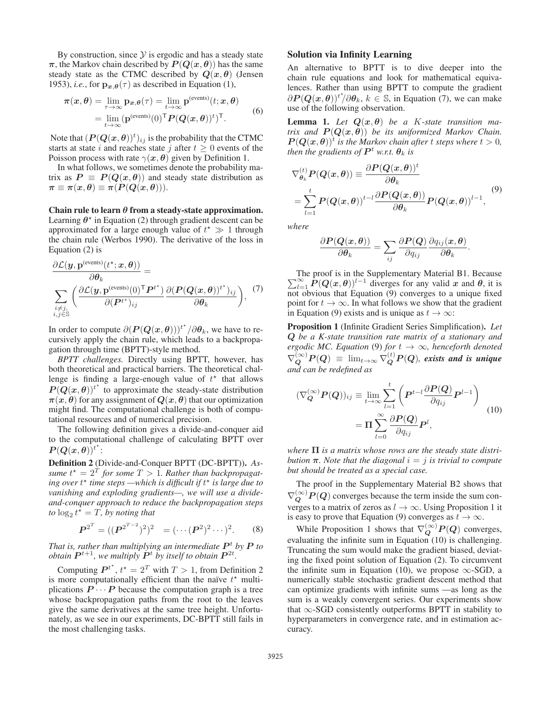By construction, since  $Y$  is ergodic and has a steady state  $\pi$ , the Markov chain described by  $P(Q(x, \theta))$  has the same steady state as the CTMC described by  $Q(x, \theta)$  (Jensen 1953), *i.e.*, for  $\mathbf{p}_{x,\theta}(\tau)$  as described in Equation (1),

$$
\pi(x,\theta) = \lim_{\tau \to \infty} \mathbf{p}_{x,\theta}(\tau) = \lim_{t \to \infty} \mathbf{p}^{(\text{events})}(t;x,\theta)
$$

$$
= \lim_{t \to \infty} (\mathbf{p}^{(\text{events})}(0)^\top P(Q(x,\theta))^t)^\top. \tag{6}
$$

Note that  $(P(Q(x, \theta))^{t})_{ij}$  is the probability that the CTMC<br>starts at state *i* and reaches state *i* after  $t > 0$  events of the starts at state i and reaches state j after  $t \geq 0$  events of the Poisson process with rate  $\gamma(x, \theta)$  given by Definition 1.

In what follows, we sometimes denote the probability matrix as  $P \equiv P(Q(x, \theta))$  and steady state distribution as  $\pi \equiv \pi(x, \theta) \equiv \pi(P(Q(x, \theta))).$ 

Chain rule to learn *θ* from a steady-state approximation. Learning  $\theta^*$  in Equation (2) through gradient descent can be approximated for a large enough value of  $t^* \gg 1$  through the chain rule (Werbos 1990). The derivative of the loss in the chain rule (Werbos 1990). The derivative of the loss in Equation (2) is

$$
\frac{\partial \mathcal{L}(\mathbf{y}, \mathbf{p}^{(\text{events})}(t^{\star}; \mathbf{x}, \boldsymbol{\theta}))}{\partial \theta_k} = \sum_{\substack{i \neq j, \\ i,j \in \mathbb{S}}} \left( \frac{\partial \mathcal{L}(\mathbf{y}, \mathbf{p}^{(\text{events})}(0)^{\mathsf{T}} \mathbf{P}^{t^{\star}})}{\partial (\mathbf{P}^{t^{\star}})_{ij}} \frac{\partial (\mathbf{P}(\mathbf{Q}(\mathbf{x}, \boldsymbol{\theta}))^{t^{\star}})_{ij}}{\partial \theta_k} \right), \tag{7}
$$

In order to compute  $\partial (P(Q(x, \theta)))^{t^*}/\partial \theta_k$ , we have to re-<br>cursively apply the chain rule, which leads to a backpropacursively apply the chain rule, which leads to a backpropagation through time (BPTT)-style method.

*BPTT challenges.* Directly using BPTT, however, has both theoretical and practical barriers. The theoretical challenge is finding a large-enough value of  $t^*$  that allows  $P(Q(x, \theta))$ <sup>t</sup> to approximate the steady-state distribution<br>  $\pi(x, \theta)$  for any assignment of  $Q(x, \theta)$  that our optimization  $\pi(x, \theta)$  for any assignment of  $Q(x, \theta)$  that our optimization might find. The computational challenge is both of computational resources and of numerical precision.

The following definition gives a divide-and-conquer aid to the computational challenge of calculating BPTT over  $P(Q(x, \theta))^{t^*}$ :<br>Definition 2. (E)

Definition 2 (Divide-and-Conquer BPTT (DC-BPTT)). *As* $s$ ume  $t^* = 2^T$  *for some*  $T > 1$ *. Rather than backpropagating over*  $t^*$  *time steps* —which is difficult if  $t^*$  is large due to *ing over* t *time steps —which is difficult if* t *is large due to vanishing and exploding gradients—, we will use a divideand-conquer approach to reduce the backpropagation steps to*  $\log_2 t^{\bar{\star}} = T$ , by noting that

$$
\boldsymbol{P}^{2^T} = ((\boldsymbol{P}^{2^{T-2}})^2)^2 = (\cdots (\boldsymbol{P}^2)^2 \cdots)^2. \qquad (8)
$$

*That is, rather than multiplying an intermediate*  $P<sup>t</sup>$  *by*  $P$  *to obtain*  $P^{t+1}$ *, we multiply*  $P^{t}$  *by itself to obtain*  $P^{2t}$ *.* 

Computing  $P^{t^*}$ ,  $t^* = 2^T$  with  $T > 1$ , from Definition 2 more computationally efficient than the naïve  $t^*$  multiis more computationally efficient than the naïve  $t^*$  multiplications  $P \cdots P$  because the computation graph is a tree whose backpropagation paths from the root to the leaves give the same derivatives at the same tree height. Unfortunately, as we see in our experiments, DC-BPTT still fails in the most challenging tasks.

# Solution via Infinity Learning

An alternative to BPTT is to dive deeper into the chain rule equations and look for mathematical equivalences. Rather than using BPTT to compute the gradient  $\partial P(Q(x, \theta))^{t^*}/\partial \theta_k$ ,  $k \in \mathbb{S}$ , in Equation (7), we can make use of the following observation.

**Lemma 1.** Let  $Q(x, \theta)$  be a K-state transition ma*trix and*  $P(Q(x, \theta))$  *be its uniformized Markov Chain.*  $P(Q(x, \theta))^t$  *is the Markov chain after t steps where*  $t > 0$ *, then the gradients of*  $P^t$  *w.r.t.*  $\theta_k$  *is* 

$$
\nabla_{\theta_k}^{(t)} P(Q(x, \theta)) \equiv \frac{\partial P(Q(x, \theta))^t}{\partial \theta_k} \n= \sum_{l=1}^t P(Q(x, \theta))^{t-l} \frac{\partial P(Q(x, \theta))}{\partial \theta_k} P(Q(x, \theta))^{l-1},
$$
\n(9)

*where*

$$
\frac{\partial \boldsymbol{P}(\boldsymbol{Q}(\boldsymbol{x}, \boldsymbol{\theta}))}{\partial \boldsymbol{\theta_k}} = \sum_{ij} \frac{\partial \boldsymbol{P}(\boldsymbol{Q})}{\partial q_{ij}} \frac{\partial q_{ij}(\boldsymbol{x}, \boldsymbol{\theta})}{\partial \boldsymbol{\theta_k}}
$$

.

 $\sum_{l=1}^{\infty} P(Q(x, \theta))^{l-1}$  diverges for any valid *x* and  $\theta$ , it is not obvious that Equation (9) converges to a unique fixed The proof is in the Supplementary Material B1. Because point for  $t \to \infty$ . In what follows we show that the gradient in Equation (9) exists and is unique as  $t \to \infty$ :

Proposition 1 (Infinite Gradient Series Simplification). *Let Q be a K-state transition rate matrix of a stationary and ergodic MC. Equation* (9) *for*  $t \rightarrow \infty$ *, henceforth denoted*  $\nabla_Q^{(\infty)} P(Q) \equiv \lim_{t \to \infty} \nabla_Q^{(t)} P(Q)$ , exists and is unique and can be redefined as

$$
(\nabla_{\mathbf{Q}}^{(\infty)} \mathbf{P}(\mathbf{Q}))_{ij} \equiv \lim_{t \to \infty} \sum_{l=1}^{t} \left( \mathbf{P}^{t-l} \frac{\partial \mathbf{P}(\mathbf{Q})}{\partial q_{ij}} \mathbf{P}^{l-1} \right)
$$

$$
= \Pi \sum_{l=0}^{\infty} \frac{\partial \mathbf{P}(\mathbf{Q})}{\partial q_{ij}} \mathbf{P}^{l}, \qquad (10)
$$

*where* **Π** *is a matrix whose rows are the steady state distribution*  $\pi$ *. Note that the diagonal*  $i = j$  *is trivial to compute but should be treated as a special case.*

The proof in the Supplementary Material B2 shows that  $\nabla_Q^{(\infty)} P(Q)$  converges because the term inside the sum converges to a matrix of zeros as  $l \to \infty$ . Using Proposition 1 it is easy to prove that Equation (9) converges as  $t \to \infty$ .

While Proposition 1 shows that  $\nabla_Q^{(\infty)} P(Q)$  converges, evaluating the infinite sum in Equation (10) is challenging. Truncating the sum would make the gradient biased, deviating the fixed point solution of Equation (2). To circumvent the infinite sum in Equation (10), we propose  $\infty$ -SGD, a numerically stable stochastic gradient descent method that can optimize gradients with infinite sums —as long as the sum is a weakly convergent series. Our experiments show that  $\infty$ -SGD consistently outperforms BPTT in stability to hyperparameters in convergence rate, and in estimation accuracy.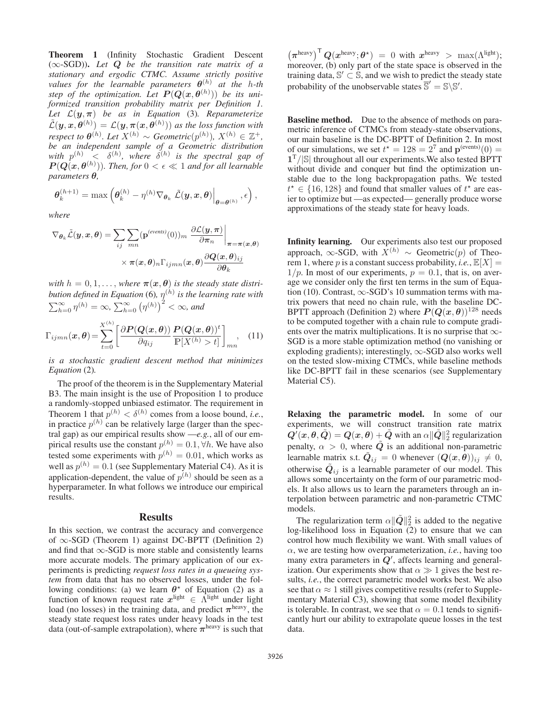Theorem 1 (Infinity Stochastic Gradient Descent (∞-SGD)). *Let Q be the transition rate matrix of a stationary and ergodic CTMC. Assume strictly positive values for the learnable parameters*  $\theta^{(h)}$  *at the h-th step of the optimization. Let*  $P(Q(x, \theta^{(h)}))$  *be its uni-*<br>formized transition probability matrix per Definition 1 *formized transition probability matrix per Definition 1. Let* <sup>L</sup>(*y*,*π*) *be as in Equation* (3)*. Reparameterize*  $\mathcal{L}(\mathbf{y}, \mathbf{x}, \theta^{(h)}) = \mathcal{L}(\mathbf{y}, \pi(\mathbf{x}, \theta^{(h)}))$  as the loss function with respect to  $\theta^{(h)}$ . Let  $X^{(h)} \sim$  Geometric $(p^{(h)})$ ,  $X^{(h)} \in \mathbb{Z}^+$ , be an independent sample of a Geometric distribution *be an independent sample of a Geometric distribution* with  $p^{(h)}$   $\langle \delta^{(h)}, \hat{w} \rangle$  *where*  $\delta^{(h)}$  *is the spectral gap of*  $P(Q(x, \theta^{(h)}))$ . Then, for  $0 < \epsilon \ll 1$  and for all learnable parameters  $\theta$ *parameters θ,*

*where*

$$
\nabla_{\theta_k} \tilde{\mathcal{L}}(\mathbf{y}, \mathbf{x}, \theta) = \sum_{ij} \sum_{mn} (\mathbf{p}^{(events)}(0))_m \left. \frac{\partial \mathcal{L}(\mathbf{y}, \boldsymbol{\pi})}{\partial \pi_n} \right|_{\boldsymbol{\pi} = \boldsymbol{\pi}(\mathbf{x}, \theta)}
$$

$$
\times \left. \pi(\mathbf{x}, \theta)_n \Gamma_{ijmn}(\mathbf{x}, \theta) \frac{\partial \mathcal{Q}(\mathbf{x}, \theta)_{ij}}{\partial \theta_k} \right|
$$

 $\bm{\theta}_k^{(h+1)} = \max \left( \bm{\theta}_k^{(h)} - \eta^{(h)} \nabla_{\bm{\theta}_k} \left. \tilde{\mathcal{L}}(\bm{y}, \bm{x}, \bm{\theta}) \right|_{\bm{\theta} = \bm{\theta}^{(h)}}, \epsilon \right),$ 

*with*  $h = 0, 1, \ldots$ , *where*  $\pi(x, \theta)$  *is the steady state distribution defined in Equation* (6),  $\eta^{(h)}$  *is the learning rate with*  $\sum_{h=0}^{\infty} \eta^{(h)} = \infty$ ,  $\sum_{h=0}^{\infty} (\eta^{(h)})^2 < \infty$ , and

$$
\Gamma_{ijmn}(\boldsymbol{x},\boldsymbol{\theta}) = \sum_{t=0}^{X^{(h)}} \left[ \frac{\partial \boldsymbol{P}(\boldsymbol{Q}(\boldsymbol{x},\boldsymbol{\theta}))}{\partial q_{ij}} \frac{\boldsymbol{P}(\boldsymbol{Q}(\boldsymbol{x},\boldsymbol{\theta}))^t}{\mathbb{P}[X^{(h)} > t]} \right]_{mn}, \quad (11)
$$

*is a stochastic gradient descent method that minimizes Equation* (2)*.*

The proof of the theorem is in the Supplementary Material B3. The main insight is the use of Proposition 1 to produce a randomly-stopped unbiased estimator. The requirement in Theorem 1 that  $p^{(h)} < \delta^{(h)}$  comes from a loose bound, *i.e.*, in practice  $p^{(h)}$  can be relatively large (larger than the spectral gap) as our empirical results show —*e.g.*, all of our empirical results use the constant  $p^{(h)} = 0.1$ ,  $\forall h$ . We have also tested some experiments with  $p^{(h)} = 0.01$ , which works as well as  $p^{(h)} = 0.1$  (see Supplementary Material C4). As it is application-dependent, the value of  $p^{(h)}$  should be seen as a hyperparameter. In what follows we introduce our empirical results.

## Results

In this section, we contrast the accuracy and convergence of ∞-SGD (Theorem 1) against DC-BPTT (Definition 2) and find that  $\infty$ -SGD is more stable and consistently learns more accurate models. The primary application of our experiments is predicting *request loss rates in a queueing system* from data that has no observed losses, under the following conditions: (a) we learn  $\theta^*$  of Equation (2) as a function of known request rate  $x^{\text{light}} \in \bar{\Lambda}^{\text{light}}$  under light load (no losses) in the training data and predict  $\pi^{\text{heavy}}$  the load (no losses) in the training data, and predict  $\pi^{\text{heavy}}$ , the steady state request loss rates under heavy loads in the test data (out-of-sample extrapolation), where  $\pi$ <sup>heavy</sup> is such that

 $(\pi^{\text{heavy}})^{\text{T}} Q(x^{\text{heavy}}; \theta^{\star}) = 0$  with  $x^{\text{heavy}} > \max(\Lambda^{\text{light}});$ <br>moreover (b) only part of the state space is observed in the moreover, (b) only part of the state space is observed in the training data,  $\mathbb{S}' \subset \mathbb{\hat{S}}$ , and we wish to predict the steady state probability of the unobservable states  $\overline{S}' = S \ S'$ .

Baseline method. Due to the absence of methods on parametric inference of CTMCs from steady-state observations, our main baseline is the DC-BPTT of Definition 2. In most of our simulations, we set  $t^* = 128 = 2^7$  and  $p^{(events)}(0) = 1^T/|\mathcal{S}|$  throughout all our experiments We also tested BPTT  $1^T/|\mathbb{S}|$  throughout all our experiments. We also tested BPTT without divide and conquer but find the optimization unstable due to the long backpropagation paths. We tested  $t^* \in \{16, 128\}$  and found that smaller values of  $t^*$  are eas-<br>ier to optimize but —as expected— generally produce worse ier to optimize but —as expected— generally produce worse approximations of the steady state for heavy loads.

Infinity learning. Our experiments also test our proposed approach, ∞-SGD, with  $X^{(h)}$  ~ Geometric(p) of Theorem 1, where p is a constant success probability, *i.e.*,  $\mathbb{E}[X] =$  $1/p$ . In most of our experiments,  $p = 0.1$ , that is, on average we consider only the first ten terms in the sum of Equation (10). Contrast,  $\infty$ -SGD's 10 summation terms with matrix powers that need no chain rule, with the baseline DC-BPTT approach (Definition 2) where  $P(Q(x, \theta))^{128}$  needs to be computed together with a chain rule to compute gradients over the matrix multiplications. It is no surprise that  $\infty$ -SGD is a more stable optimization method (no vanishing or exploding gradients); interestingly,  $\infty$ -SGD also works well on the tested slow-mixing CTMCs, while baseline methods like DC-BPTT fail in these scenarios (see Supplementary Material C5).

Relaxing the parametric model. In some of our experiments, we will construct transition rate matrix  $Q'(\mathbf{x}, \theta, \tilde{Q}) = Q(\mathbf{x}, \theta) + \tilde{Q}$  with an  $\alpha ||\tilde{Q}||_2^2$  regularization<br>panelty,  $\alpha > 0$ , where  $\tilde{Q}$  is an additional non-parametric penalty,  $\alpha > 0$ , where  $\tilde{Q}$  is an additional non-parametric learnable matrix s.t.  $\tilde{Q}_{ij} = 0$  whenever  $(Q(x, \theta))_{ij} \neq 0$ , otherwise  $\tilde{Q}_{ij}$  is a learnable parameter of our model. This allows some uncertainty on the form of our parametric models. It also allows us to learn the parameters through an interpolation between parametric and non-parametric CTMC models.

The regularization term  $\alpha ||\tilde{Q}||_2^2$  is added to the negative<br>a likelihood loss in Equation (2) to answer that we can log-likelihood loss in Equation (2) to ensure that we can control how much flexibility we want. With small values of α, we are testing how overparameterization, *i.e.*, having too many extra parameters in *Q* , affects learning and generalization. Our experiments show that  $\alpha \gg 1$  gives the best re-<br>sults *i.e.* the correct parametric model works best. We also sults, *i.e.*, the correct parametric model works best. We also see that  $\alpha \approx 1$  still gives competitive results (refer to Supplementary Material C3), showing that some model flexibility is tolerable. In contrast, we see that  $\alpha = 0.1$  tends to significantly hurt our ability to extrapolate queue losses in the test data.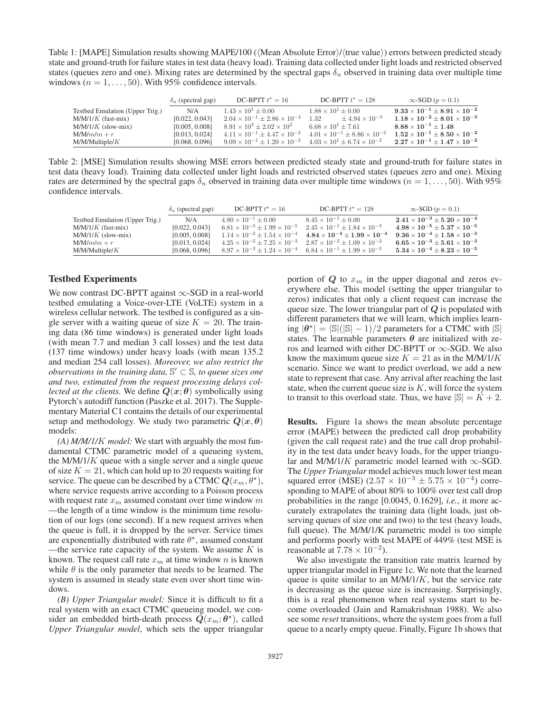Table 1: [MAPE] Simulation results showing MAPE/100 ((Mean Absolute Error)/(true value)) errors between predicted steady state and ground-truth for failure states in test data (heavy load). Training data collected under light loads and restricted observed states (queues zero and one). Mixing rates are determined by the spectral gaps  $\delta_n$  observed in training data over multiple time windows ( $n = 1, \ldots, 50$ ). With 95% confidence intervals.

|                                 | $\delta_n$ (spectral gap) | DC-BPTT $t^* = 16$                                                                         | DC-BPTT $t^* = 128$                           | $\infty$ -SGD ( $p = 0.1$ )                   |
|---------------------------------|---------------------------|--------------------------------------------------------------------------------------------|-----------------------------------------------|-----------------------------------------------|
| Testbed Emulation (Upper Trig.) | N/A                       | $1.43 \times 10^{1} \pm 0.00$                                                              | $1.88 \times 10^{1} \pm 0.00$                 | $9.33 \times 10^{-1} + 8.91 \times 10^{-2}$   |
| $M/M/1/K$ (fast-mix)            | [0.022, 0.043]            | $2.04 \times 10^{-1} \pm 2.86 \times 10^{-4}$                                              | $\pm 4.94 \times 10^{-3}$<br>1.32             | $1.18 \times 10^{-2} \pm 8.01 \times 10^{-3}$ |
| $M/M/1/K$ (slow-mix)            | [0.005, 0.008]            | $8.91 \times 10^3 \pm 2.02 \times 10^2$                                                    | $6.68 \times 10^{1} + 7.61$                   | $8.88 \times 10^{-1} + 1.48$                  |
| $M/M/m/m + r$                   | [0.013, 0.024]            | $4.11 \times 10^{-1} \pm 4.47 \times 10^{-2}$                                              | $4.01 \times 10^{-1} \pm 8.86 \times 10^{-2}$ | $1.52 \times 10^{-1} \pm 8.50 \times 10^{-2}$ |
| $M/M/M$ ultiple/ $K$            | [0.068, 0.096]            | $9.09 \times 10^{-1} \pm 1.20 \times 10^{-2}$ $4.03 \times 10^{1} \pm 6.74 \times 10^{-2}$ |                                               | $2.27 \times 10^{-1} \pm 1.47 \times 10^{-2}$ |
|                                 |                           |                                                                                            |                                               |                                               |

Table 2: [MSE] Simulation results showing MSE errors between predicted steady state and ground-truth for failure states in test data (heavy load). Training data collected under light loads and restricted observed states (queues zero and one). Mixing rates are determined by the spectral gaps  $\delta_n$  observed in training data over multiple time windows ( $n = 1, \ldots, 50$ ). With 95% confidence intervals.

|                                 | $\delta_n$ (spectral gap) | DC-BPTT $t^* = 16$                                                                          | DC-BPTT $t^* = 128$                                                                         | $\infty$ -SGD ( $p = 0.1$ )                   |
|---------------------------------|---------------------------|---------------------------------------------------------------------------------------------|---------------------------------------------------------------------------------------------|-----------------------------------------------|
| Testbed Emulation (Upper Trig.) | N/A                       | $4.80 \times 10^{-1} + 0.00$                                                                | $8.45 \times 10^{-1} + 0.00$                                                                | $2.41\times 10^{-3} \pm 5.20\times 10^{-4}$   |
| $M/M/1/K$ (fast-mix)            | [0.022, 0.043]            | $6.81 \times 10^{-3} \pm 1.99 \times 10^{-5}$ $2.45 \times 10^{-1} \pm 1.84 \times 10^{-3}$ |                                                                                             | $4.98 \times 10^{-5} + 5.37 \times 10^{-5}$   |
| $M/M/1/K$ (slow-mix)            | [0.005, 0.008]            |                                                                                             | $1.14 \times 10^{-2} \pm 1.54 \times 10^{-4}$ $4.84 \times 10^{-4} \pm 1.99 \times 10^{-4}$ | $9.36 \times 10^{-4} \pm 1.58 \times 10^{-3}$ |
| $M/M/m/m + r$                   | [0.013, 0.024]            | $4.25 \times 10^{-2} \pm 7.25 \times 10^{-3}$ $2.87 \times 10^{-2} \pm 1.09 \times 10^{-2}$ |                                                                                             | $6.65 \times 10^{-3} \pm 5.61 \times 10^{-3}$ |
| $M/M/M$ ultiple/ $K$            | [0.068, 0.096]            | $8.97 \times 10^{-3} \pm 1.24 \times 10^{-4}$ $6.84 \times 10^{-1} \pm 1.99 \times 10^{-3}$ |                                                                                             | $5.34 \times 10^{-4} \pm 8.23 \times 10^{-5}$ |
|                                 |                           |                                                                                             |                                                                                             |                                               |

#### Testbed Experiments

We now contrast DC-BPTT against ∞-SGD in a real-world testbed emulating a Voice-over-LTE (VoLTE) system in a wireless cellular network. The testbed is configured as a single server with a waiting queue of size  $K = 20$ . The training data (86 time windows) is generated under light loads (with mean 7.7 and median 3 call losses) and the test data (137 time windows) under heavy loads (with mean 135.2 and median 254 call losses). *Moreover, we also restrict the observations in the training data,*  $\mathbb{S}' \subset \mathbb{S}$ *, to queue sizes one and two, estimated from the request processing delays collected at the clients.* We define  $Q(x; \theta)$  symbolically using Pytorch's autodiff function (Paszke et al. 2017). The Supplementary Material C1 contains the details of our experimental setup and methodology. We study two parametric  $Q(x, \theta)$ models:

*(A) M/M/1/*K *model:* We start with arguably the most fundamental CTMC parametric model of a queueing system, the  $M/M/1/K$  queue with a single server and a single queue of size  $K = 21$ , which can hold up to 20 requests waiting for service. The queue can be described by a CTMC  $Q(x_m, \theta^*)$ , where service requests arrive according to a Poisson process with request rate  $x_m$  assumed constant over time window m —the length of a time window is the minimum time resolution of our logs (one second). If a new request arrives when the queue is full, it is dropped by the server. Service times are exponentially distributed with rate  $\theta^*$ , assumed constant —the service rate capacity of the system. We assume  $K$  is known. The request call rate  $x_m$  at time window n is known while  $\theta$  is the only parameter that needs to be learned. The system is assumed in steady state even over short time windows.

*(B) Upper Triangular model:* Since it is difficult to fit a real system with an exact CTMC queueing model, we consider an embedded birth-death process  $Q(x_m; \theta^*)$ , called *Upper Triangular model*, which sets the upper triangular

portion of  $Q$  to  $x_m$  in the upper diagonal and zeros everywhere else. This model (setting the upper triangular to zeros) indicates that only a client request can increase the queue size. The lower triangular part of *Q* is populated with different parameters that we will learn, which implies learning  $|\theta^*| = |\mathbb{S}|(|\mathbb{S}| - 1)/2$  parameters for a CTMC with  $|\mathbb{S}|$ states. The learnable parameters  $\theta$  are initialized with zeros and learned with either DC-BPTT or  $\infty$ -SGD. We also know the maximum queue size  $K = 21$  as in the M/M/1/K scenario. Since we want to predict overload, we add a new state to represent that case. Any arrival after reaching the last state, when the current queue size is  $K$ , will force the system to transit to this overload state. Thus, we have  $|\mathbb{S}| = K + 2$ .

Results. Figure 1a shows the mean absolute percentage error (MAPE) between the predicted call drop probability (given the call request rate) and the true call drop probability in the test data under heavy loads, for the upper triangular and M/M/1/K parametric model learned with  $\infty$ -SGD. The *Upper Triangular* model achieves much lower test mean squared error (MSE) (2.57 ×  $10^{-3} \pm 5.75 \times 10^{-4}$ ) corresponding to MAPE of about 80% to 100% over test call drop probabilities in the range [0.0045, 0.1629], *i.e.*, it more accurately extrapolates the training data (light loads, just observing queues of size one and two) to the test (heavy loads, full queue). The M/M/1/K parametric model is too simple and performs poorly with test MAPE of 449% (test MSE is reasonable at  $7.78 \times 10^{-2}$ ).

We also investigate the transition rate matrix learned by upper triangular model in Figure 1c. We note that the learned queue is quite similar to an  $M/M/1/K$ , but the service rate is decreasing as the queue size is increasing. Surprisingly, this is a real phenomenon when real systems start to become overloaded (Jain and Ramakrishnan 1988). We also see some *reset* transitions, where the system goes from a full queue to a nearly empty queue. Finally, Figure 1b shows that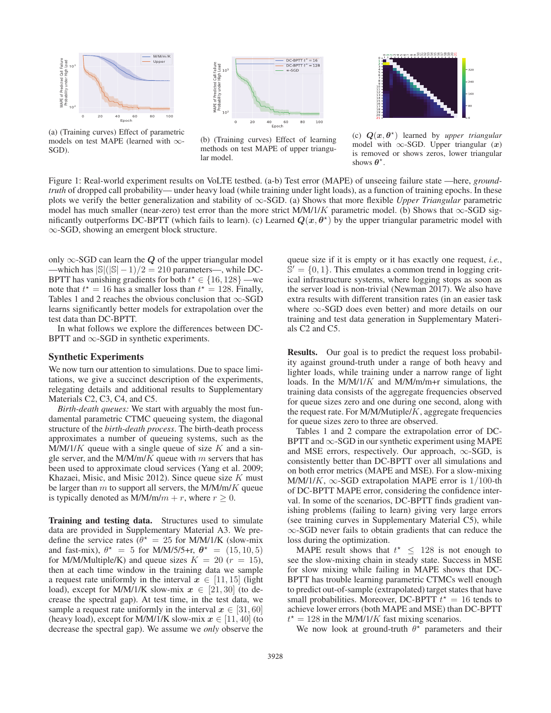

(a) (Training curves) Effect of parametric models on test MAPE (learned with ∞- SGD).



(b) (Training curves) Effect of learning methods on test MAPE of upper triangular model.



(c)  $Q(x, \theta^*)$  learned by *upper triangular* model with  $\infty$ -SGD. Upper triangular  $(x)$ is removed or shows zeros, lower triangular shows  $\boldsymbol{\theta}^{\star}$ .

Figure 1: Real-world experiment results on VoLTE testbed. (a-b) Test error (MAPE) of unseeing failure state —here, *groundtruth* of dropped call probability— under heavy load (while training under light loads), as a function of training epochs. In these plots we verify the better generalization and stability of ∞-SGD. (a) Shows that more flexible *Upper Triangular* parametric model has much smaller (near-zero) test error than the more strict M/M/1/K parametric model. (b) Shows that  $\infty$ -SGD significantly outperforms DC-BPTT (which fails to learn). (c) Learned  $Q(x, \theta^*)$  by the upper triangular parametric model with ∞-SGD, showing an emergent block structure.

only  $\infty$ -SGD can learn the *Q* of the upper triangular model —which has  $|\mathbb{S}|(|\mathbb{S}| - 1)/2 = 210$  parameters—, while DC-BPTT has vanishing gradients for both  $t^* \in \{16, 128\}$  —we note that  $t^* = 16$  has a smaller loss than  $t^* = 128$  Finally note that  $t^* = 16$  has a smaller loss than  $t^* = 128$ . Finally, Tables 1 and 2 reaches the obvious conclusion that  $\infty$ -SGD Tables 1 and 2 reaches the obvious conclusion that  $\infty$ -SGD learns significantly better models for extrapolation over the test data than DC-BPTT.

In what follows we explore the differences between DC-BPTT and  $\infty$ -SGD in synthetic experiments.

#### Synthetic Experiments

We now turn our attention to simulations. Due to space limitations, we give a succinct description of the experiments, relegating details and additional results to Supplementary Materials C2, C3, C4, and C5.

*Birth-death queues:* We start with arguably the most fundamental parametric CTMC queueing system, the diagonal structure of the *birth-death process*. The birth-death process approximates a number of queueing systems, such as the  $M/M/1/K$  queue with a single queue of size K and a single server, and the M/M/m/K queue with  $m$  servers that has been used to approximate cloud services (Yang et al. 2009; Khazaei, Misic, and Misic 2012). Since queue size  $K$  must be larger than  $m$  to support all servers, the M/M/m/K queue is typically denoted as  $M/M/m/m + r$ , where  $r \ge 0$ .

Training and testing data. Structures used to simulate data are provided in Supplementary Material A3. We predefine the service rates ( $\theta^* = 25$  for M/M/1/K (slow-mix and fast-mix),  $\theta^* = 5$  for M/M/5/5+r,  $\theta^* = (15, 10, 5)$ for M/M/Multiple/K) and queue sizes  $K = 20$  ( $r = 15$ ), then at each time window in the training data we sample a request rate uniformly in the interval  $x \in [11, 15]$  (light load), except for M/M/1/K slow-mix  $x \in [21, 30]$  (to decrease the spectral gap). At test time, in the test data, we sample a request rate uniformly in the interval  $x \in [31, 60]$ (heavy load), except for M/M/1/K slow-mix  $x \in [11, 40]$  (to decrease the spectral gap). We assume we *only* observe the

queue size if it is empty or it has exactly one request, *i.e.*,  $\mathbb{S}' = \{0, 1\}$ . This emulates a common trend in logging critical infrastructure systems, where logging stops as soon as the server load is non-trivial (Newman 2017). We also have extra results with different transition rates (in an easier task where  $\infty$ -SGD does even better) and more details on our training and test data generation in Supplementary Materials C2 and C5.

Results. Our goal is to predict the request loss probability against ground-truth under a range of both heavy and lighter loads, while training under a narrow range of light loads. In the M/M/1/K and M/M/m/m+r simulations, the training data consists of the aggregate frequencies observed for queue sizes zero and one during one second, along with the request rate. For  $M/M/Multi$  aggregate frequencies for queue sizes zero to three are observed.

Tables 1 and 2 compare the extrapolation error of DC-BPTT and  $\infty$ -SGD in our synthetic experiment using MAPE and MSE errors, respectively. Our approach,  $\infty$ -SGD, is consistently better than DC-BPTT over all simulations and on both error metrics (MAPE and MSE). For a slow-mixing M/M/1/K,  $\infty$ -SGD extrapolation MAPE error is 1/100-th of DC-BPTT MAPE error, considering the confidence interval. In some of the scenarios, DC-BPTT finds gradient vanishing problems (failing to learn) giving very large errors (see training curves in Supplementary Material C5), while ∞-SGD never fails to obtain gradients that can reduce the loss during the optimization.

MAPE result shows that  $t^* \leq 128$  is not enough to the slow-mixing chain in steady state. Success in MSE see the slow-mixing chain in steady state. Success in MSE for slow mixing while failing in MAPE shows that DC-BPTT has trouble learning parametric CTMCs well enough to predict out-of-sample (extrapolated) target states that have small probabilities. Moreover, DC-BPTT  $t^* = 16$  tends to achieve lower errors (both MAPE and MSE) than DC-BPTT achieve lower errors (both MAPE and MSE) than DC-BPTT  $t^* = 128$  in the M/M/1/K fast mixing scenarios.<br>We now look at ground-truth  $\theta^*$  parameters

We now look at ground-truth  $\theta^*$  parameters and their